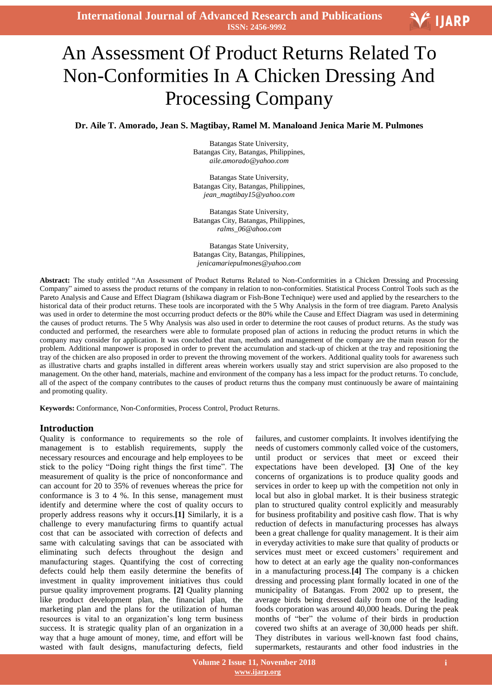**International Journal of Advanced Research and Publications ISSN: 2456-9992**

# V IJARP

# -<br>I An Assessment Of Product Returns Related To Non-Conformities In A Chicken Dressing And Processing Company

**Dr. Aile T. Amorado, Jean S. Magtibay, Ramel M. Manaloand Jenica Marie M. Pulmones**

Batangas State University, Batangas City, Batangas, Philippines, *aile.amorado@yahoo.com*

Batangas State University, Batangas City, Batangas, Philippines, *jean\_magtibay15@yahoo.com*

Batangas State University, Batangas City, Batangas, Philippines, *ralms\_06@ahoo.com*

Batangas State University, Batangas City, Batangas, Philippines, *jenicamariepulmones@yahoo.com*

**Abstract:** The study entitled "An Assessment of Product Returns Related to Non-Conformities in a Chicken Dressing and Processing Company" aimed to assess the product returns of the company in relation to non-conformities. Statistical Process Control Tools such as the Pareto Analysis and Cause and Effect Diagram (Ishikawa diagram or Fish-Bone Technique) were used and applied by the researchers to the historical data of their product returns. These tools are incorporated with the 5 Why Analysis in the form of tree diagram. Pareto Analysis was used in order to determine the most occurring product defects or the 80% while the Cause and Effect Diagram was used in determining the causes of product returns. The 5 Why Analysis was also used in order to determine the root causes of product returns. As the study was conducted and performed, the researchers were able to formulate proposed plan of actions in reducing the product returns in which the company may consider for application. It was concluded that man, methods and management of the company are the main reason for the problem. Additional manpower is proposed in order to prevent the accumulation and stack-up of chicken at the tray and repositioning the tray of the chicken are also proposed in order to prevent the throwing movement of the workers. Additional quality tools for awareness such as illustrative charts and graphs installed in different areas wherein workers usually stay and strict supervision are also proposed to the management. On the other hand, materials, machine and environment of the company has a less impact for the product returns. To conclude, all of the aspect of the company contributes to the causes of product returns thus the company must continuously be aware of maintaining and promoting quality.

**Keywords:** Conformance, Non-Conformities, Process Control, Product Returns.

# **Introduction**

Quality is conformance to requirements so the role of management is to establish requirements, supply the necessary resources and encourage and help employees to be stick to the policy "Doing right things the first time". The measurement of quality is the price of nonconformance and can account for 20 to 35% of revenues whereas the price for conformance is 3 to 4 %. In this sense, management must identify and determine where the cost of quality occurs to properly address reasons why it occurs.**[1]** Similarly, it is a challenge to every manufacturing firms to quantify actual cost that can be associated with correction of defects and same with calculating savings that can be associated with eliminating such defects throughout the design and manufacturing stages. Quantifying the cost of correcting defects could help them easily determine the benefits of investment in quality improvement initiatives thus could pursue quality improvement programs. **[2]** Quality planning like product development plan, the financial plan, the marketing plan and the plans for the utilization of human resources is vital to an organization's long term business success. It is strategic quality plan of an organization in a way that a huge amount of money, time, and effort will be wasted with fault designs, manufacturing defects, field

failures, and customer complaints. It involves identifying the needs of customers commonly called voice of the customers, until product or services that meet or exceed their expectations have been developed. **[3]** One of the key concerns of organizations is to produce quality goods and services in order to keep up with the competition not only in local but also in global market. It is their business strategic plan to structured quality control explicitly and measurably for business profitability and positive cash flow. That is why reduction of defects in manufacturing processes has always been a great challenge for quality management. It is their aim in everyday activities to make sure that quality of products or services must meet or exceed customers' requirement and how to detect at an early age the quality non-conformances in a manufacturing process.**[4]** The company is a chicken dressing and processing plant formally located in one of the municipality of Batangas. From 2002 up to present, the average birds being dressed daily from one of the leading foods corporation was around 40,000 heads. During the peak months of "ber" the volume of their birds in production covered two shifts at an average of 30,000 heads per shift. They distributes in various well-known fast food chains, supermarkets, restaurants and other food industries in the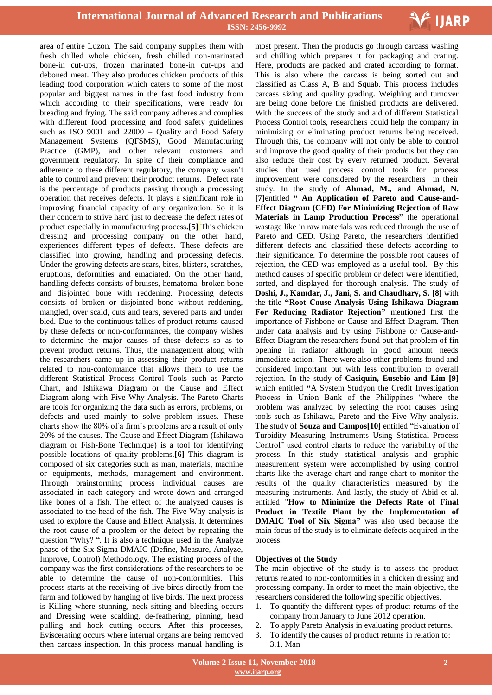

 area of entire Luzon. The said company supplies them with fresh chilled whole chicken, fresh chilled non-marinated bone-in cut-ups, frozen marinated bone-in cut-ups and deboned meat. They also produces chicken products of this leading food corporation which caters to some of the most popular and biggest names in the fast food industry from which according to their specifications, were ready for breading and frying. The said company adheres and complies with different food processing and food safety guidelines such as ISO 9001 and 22000 – Quality and Food Safety Management Systems (QFSMS), Good Manufacturing Practice (GMP), and other relevant customers and government regulatory. In spite of their compliance and adherence to these different regulatory, the company wasn't able to control and prevent their product returns. Defect rate is the percentage of products passing through a processing operation that receives defects. It plays a significant role in improving financial capacity of any organization. So it is their concern to strive hard just to decrease the defect rates of product especially in manufacturing process**.[5]** This chicken dressing and processing company on the other hand, experiences different types of defects. These defects are classified into growing, handling and processing defects. Under the growing defects are scars, bites, blisters, scratches, eruptions, deformities and emaciated. On the other hand, handling defects consists of bruises, hematoma, broken bone and disjointed bone with reddening. Processing defects consists of broken or disjointed bone without reddening, mangled, over scald, cuts and tears, severed parts and under bled. Due to the continuous tallies of product returns caused by these defects or non-conformances, the company wishes to determine the major causes of these defects so as to prevent product returns. Thus, the management along with the researchers came up in assessing their product returns related to non-conformance that allows them to use the different Statistical Process Control Tools such as Pareto Chart, and Ishikawa Diagram or the Cause and Effect Diagram along with Five Why Analysis. The Pareto Charts are tools for organizing the data such as errors, problems, or defects and used mainly to solve problem issues. These charts show the 80% of a firm's problems are a result of only 20% of the causes. The Cause and Effect Diagram (Ishikawa diagram or Fish-Bone Technique) is a tool for identifying possible locations of quality problems.**[6]** This diagram is composed of six categories such as man, materials, machine or equipments, methods, management and environment. Through brainstorming process individual causes are associated in each category and wrote down and arranged like bones of a fish. The effect of the analyzed causes is associated to the head of the fish. The Five Why analysis is used to explore the Cause and Effect Analysis. It determines the root cause of a problem or the defect by repeating the question "Why? ". It is also a technique used in the Analyze phase of the Six Sigma DMAIC (Define, Measure, Analyze, Improve, Control) Methodology. The existing process of the company was the first considerations of the researchers to be able to determine the cause of non-conformities. This process starts at the receiving of live birds directly from the farm and followed by hanging of live birds. The next process is Killing where stunning, neck sitting and bleeding occurs and Dressing were scalding, de-feathering, pinning, head pulling and hock cutting occurs. After this processes, Eviscerating occurs where internal organs are being removed then carcass inspection. In this process manual handling is

most present. Then the products go through carcass washing and chilling which prepares it for packaging and crating. Here, products are packed and crated according to format. This is also where the carcass is being sorted out and classified as Class A, B and Squab. This process includes carcass sizing and quality grading. Weighing and turnover are being done before the finished products are delivered. With the success of the study and aid of different Statistical Process Control tools, researchers could help the company in minimizing or eliminating product returns being received. Through this, the company will not only be able to control and improve the good quality of their products but they can also reduce their cost by every returned product. Several studies that used process control tools for process improvement were considered by the researchers in their study. In the study of **Ahmad, M., and Ahmad, N. [7]**entitled **" An Application of Pareto and Cause-and-Effect Diagram (CED) For Minimizing Rejection of Raw Materials in Lamp Production Process"** the operational wastage like in raw materials was reduced through the use of Pareto and CED. Using Pareto, the researchers identified different defects and classified these defects according to their significance. To determine the possible root causes of rejection, the CED was employed as a useful tool. By this method causes of specific problem or defect were identified, sorted, and displayed for thorough analysis. The study of **Doshi, J., Kamdar, J., Jani, S. and Chaudhary, S. [8]** with the title **"Root Cause Analysis Using Ishikawa Diagram For Reducing Radiator Rejection"** mentioned first the importance of Fishbone or Cause-and-Effect Diagram. Then under data analysis and by using Fishbone or Cause-and-Effect Diagram the researchers found out that problem of fin opening in radiator although in good amount needs immediate action. There were also other problems found and considered important but with less contribution to overall rejection. In the study of **Casiquin, Eusebio and Lim [9]**  which entitled **"**A System Studyon the Credit Investigation Process in Union Bank of the Philippines "where the problem was analyzed by selecting the root causes using tools such as Ishikawa, Pareto and the Five Why analysis. The study of **Souza and Campos[10]** entitled "Evaluation of Turbidity Measuring Instruments Using Statistical Process Control" used control charts to reduce the variability of the process. In this study statistical analysis and graphic measurement system were accomplished by using control charts like the average chart and range chart to monitor the results of the quality characteristics measured by the measuring instruments. And lastly, the study of Abid et al. entitled "**How to Minimize the Defects Rate of Final Product in Textile Plant by the Implementation of DMAIC Tool of Six Sigma"** was also used because the main focus of the study is to eliminate defects acquired in the process.

#### **Objectives of the Study**

The main objective of the study is to assess the product returns related to non-conformities in a chicken dressing and processing company. In order to meet the main objective, the researchers considered the following specific objectives.

- 1. To quantify the different types of product returns of the company from January to June 2012 operation.
- 2. To apply Pareto Analysis in evaluating product returns.
- 3. To identify the causes of product returns in relation to: 3.1. Man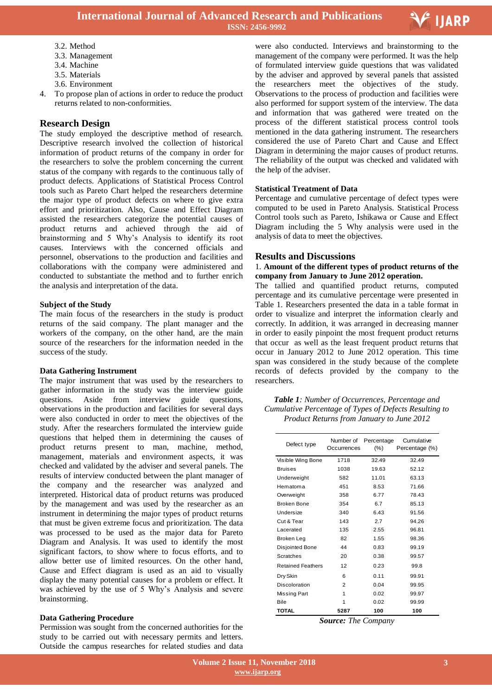

- 
- 3.3. Management
- 3.4. Machine
- 3.5. Materials
- 3.6. Environment
- 4. To propose plan of actions in order to reduce the product returns related to non-conformities.

# **Research Design**

The study employed the descriptive method of research. Descriptive research involved the collection of historical information of product returns of the company in order for the researchers to solve the problem concerning the current status of the company with regards to the continuous tally of product defects. Applications of Statistical Process Control tools such as Pareto Chart helped the researchers determine the major type of product defects on where to give extra effort and prioritization. Also, Cause and Effect Diagram assisted the researchers categorize the potential causes of product returns and achieved through the aid of brainstorming and 5 Why's Analysis to identify its root causes. Interviews with the concerned officials and personnel, observations to the production and facilities and collaborations with the company were administered and conducted to substantiate the method and to further enrich the analysis and interpretation of the data.

#### **Subject of the Study**

The main focus of the researchers in the study is product returns of the said company. The plant manager and the workers of the company, on the other hand, are the main source of the researchers for the information needed in the success of the study.

#### **Data Gathering Instrument**

The major instrument that was used by the researchers to gather information in the study was the interview guide questions. Aside from interview guide questions, observations in the production and facilities for several days were also conducted in order to meet the objectives of the study. After the researchers formulated the interview guide questions that helped them in determining the causes of product returns present to man, machine, method, management, materials and environment aspects, it was checked and validated by the adviser and several panels. The results of interview conducted between the plant manager of the company and the researcher was analyzed and interpreted. Historical data of product returns was produced by the management and was used by the researcher as an instrument in determining the major types of product returns that must be given extreme focus and prioritization. The data was processed to be used as the major data for Pareto Diagram and Analysis. It was used to identify the most significant factors, to show where to focus efforts, and to allow better use of limited resources. On the other hand, Cause and Effect diagram is used as an aid to visually display the many potential causes for a problem or effect. It was achieved by the use of 5 Why's Analysis and severe brainstorming.

#### **Data Gathering Procedure**

Permission was sought from the concerned authorities for the study to be carried out with necessary permits and letters. Outside the campus researches for related studies and data

 3.2. Method were also conducted. Interviews and brainstorming to the management of the company were performed. It was the help of formulated interview guide questions that was validated by the adviser and approved by several panels that assisted the researchers meet the objectives of the study. Observations to the process of production and facilities were also performed for support system of the interview. The data and information that was gathered were treated on the process of the different statistical process control tools mentioned in the data gathering instrument. The researchers considered the use of Pareto Chart and Cause and Effect Diagram in determining the major causes of product returns. The reliability of the output was checked and validated with the help of the adviser.

#### **Statistical Treatment of Data**

Percentage and cumulative percentage of defect types were computed to be used in Pareto Analysis. Statistical Process Control tools such as Pareto, Ishikawa or Cause and Effect Diagram including the 5 Why analysis were used in the analysis of data to meet the objectives.

#### **Results and Discussions**

#### 1. **Amount of the different types of product returns of the company from January to June 2012 operation.**

The tallied and quantified product returns, computed percentage and its cumulative percentage were presented in Table 1. Researchers presented the data in a table format in order to visualize and interpret the information clearly and correctly. In addition, it was arranged in decreasing manner in order to easily pinpoint the most frequent product returns that occur as well as the least frequent product returns that occur in January 2012 to June 2012 operation. This time span was considered in the study because of the complete records of defects provided by the company to the researchers.

*Table 1: Number of Occurrences, Percentage and Cumulative Percentage of Types of Defects Resulting to Product Returns from January to June 2012*

| Defect type              | Number of<br>Occurrences | Percentage<br>$(\% )$ | Cumulative<br>Percentage (%) |
|--------------------------|--------------------------|-----------------------|------------------------------|
| Visible Wing Bone        | 1718                     | 32.49                 | 32.49                        |
| <b>Bruises</b>           | 1038                     | 19.63                 | 52.12                        |
| Underweight              | 582                      | 11.01                 | 63.13                        |
| Hematoma                 | 451                      | 8.53                  | 71.66                        |
| Overweight               | 358                      | 6.77                  | 78.43                        |
| Broken Bone              | 354                      | 6.7                   | 85.13                        |
| Undersize                | 340                      | 6.43                  | 91.56                        |
| Cut & Tear               | 143                      | 2.7                   | 94.26                        |
| Lacerated                | 135                      | 2.55                  | 96.81                        |
| Broken Leg               | 82                       | 1.55                  | 98.36                        |
| Disjointed Bone          | 44                       | 0.83                  | 99.19                        |
| <b>Scratches</b>         | 20                       | 0.38                  | 99.57                        |
| <b>Retained Feathers</b> | 12                       | 0.23                  | 99.8                         |
| Dry Skin                 | 6                        | 0.11                  | 99.91                        |
| Discoloration            | $\overline{2}$           | 0.04                  | 99.95                        |
| Missing Part             | 1                        | 0.02                  | 99.97                        |
| Bile                     | 1                        | 0.02                  | 99.99                        |
| <b>TOTAL</b>             | 5287                     | 100                   | 100                          |

*Source: The Company*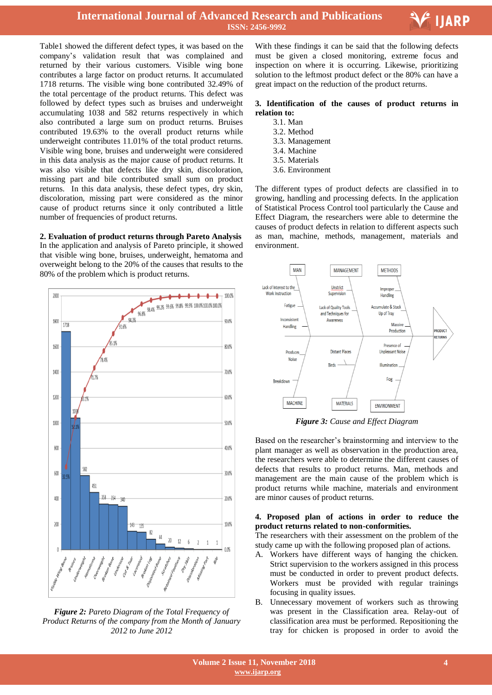



 Table1 showed the different defect types, it was based on the company's validation result that was complained and returned by their various customers. Visible wing bone contributes a large factor on product returns. It accumulated 1718 returns. The visible wing bone contributed 32.49% of the total percentage of the product returns. This defect was followed by defect types such as bruises and underweight accumulating 1038 and 582 returns respectively in which also contributed a large sum on product returns. Bruises contributed 19.63% to the overall product returns while underweight contributes 11.01% of the total product returns. Visible wing bone, bruises and underweight were considered in this data analysis as the major cause of product returns. It was also visible that defects like dry skin, discoloration, missing part and bile contributed small sum on product returns. In this data analysis, these defect types, dry skin, discoloration, missing part were considered as the minor cause of product returns since it only contributed a little number of frequencies of product returns.

**2. Evaluation of product returns through Pareto Analysis** In the application and analysis of Pareto principle, it showed that visible wing bone, bruises, underweight, hematoma and overweight belong to the 20% of the causes that results to the 80% of the problem which is product returns.



*Figure 2: Pareto Diagram of the Total Frequency of Product Returns of the company from the Month of January 2012 to June 2012*

With these findings it can be said that the following defects must be given a closed monitoring, extreme focus and inspection on where it is occurring. Likewise, prioritizing solution to the leftmost product defect or the 80% can have a great impact on the reduction of the product returns.

#### **3. Identification of the causes of product returns in relation to:**

- 3.1. Man
- 3.2. Method
- 3.3. Management 3.4. Machine
- 3.5. Materials
- 3.6. Environment

The different types of product defects are classified in to growing, handling and processing defects. In the application of Statistical Process Control tool particularly the Cause and Effect Diagram, the researchers were able to determine the causes of product defects in relation to different aspects such as man, machine, methods, management, materials and environment.



*Figure 3: Cause and Effect Diagram*

Based on the researcher's brainstorming and interview to the plant manager as well as observation in the production area, the researchers were able to determine the different causes of defects that results to product returns. Man, methods and management are the main cause of the problem which is product returns while machine, materials and environment are minor causes of product returns.

#### **4. Proposed plan of actions in order to reduce the product returns related to non-conformities.**

The researchers with their assessment on the problem of the study came up with the following proposed plan of actions.

- A. Workers have different ways of hanging the chicken. Strict supervision to the workers assigned in this process must be conducted in order to prevent product defects. Workers must be provided with regular trainings focusing in quality issues.
- B. Unnecessary movement of workers such as throwing was present in the Classification area. Relay-out of classification area must be performed. Repositioning the tray for chicken is proposed in order to avoid the